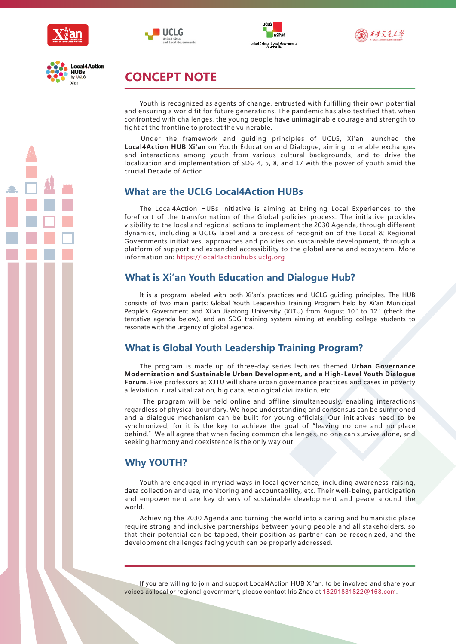









# **CONCEPT NOTE**

Youth is recognized as agents of change, entrusted with fulfilling their own potential and ensuring a world fit for future generations. The pandemic has also testified that, when confronted with challenges, the young people have unimaginable courage and strength to fight at the frontline to protect the vulnerable.

Under the framework and guiding principles of UCLG, Xi'an launched the **Local4Action HUB Xi an** on Youth Education and Dialogue, aiming to enable exchanges **'** and interactions among youth from various cultural backgrounds, and to drive the localization and implementation of SDG 4, 5, 8, and 17 with the power of youth amid the crucial Decade of Action.

## **What are the UCLG Local4Action HUBs**

The Local4Action HUBs initiative is aiming at bringing Local Experiences to the forefront of the transformation of the Global policies process. The initiative provides visibility to the local and regional actions to implement the 2030 Agenda, through different dynamics, including a UCLG label and a process of recognition of the Local & Regional Governments initiatives, approaches and policies on sustainable development, through a platform of support and expanded accessibility to the global arena and ecosystem. More information on: https://local4actionhubs.uclg.org

### **What is Xi' an Youth Education and Dialogue Hub?**

It is a program labeled with both Xi'an's practices and UCLG guiding principles. The HUB consists of two main parts: Global Youth Leadership Training Program held by Xi'an Municipal People's Government and Xi'an Jiaotong University (XJTU) from August 10<sup>th</sup> to 12<sup>th</sup> (check the tentative agenda below), and an SDG training system aiming at enabling college students to resonate with the urgency of global agenda.

# **What is Global Youth Leadership Training Program?**

The program is made up of three-day series lectures themed **Urban Governance Modernization and Sustainable Urban Development, and a High-Level Youth Dialogue Forum.** Five professors at XJTU will share urban governance practices and cases in poverty alleviation, rural vitalization, big data, ecological civilization, etc.

The program will be held online and offline simultaneously, enabling interactions regardless of physical boundary. We hope understanding and consensus can be summoned and a dialogue mechanism can be built for young officials. Our initiatives need to be synchronized, for it is the key to achieve the goal of"leaving no one and no place behind."We all agree that when facing common challenges, no one can survive alone, and seeking harmony and coexistence is the only way out.

### **Why YOUTH?**

Youth are engaged in myriad ways in local governance, including awareness-raising, data collection and use, monitoring and accountability, etc. Their well-being, participation and empowerment are key drivers of sustainable development and peace around the world.

Achieving the 2030 Agenda and turning the world into a caring and humanistic place require strong and inclusive partnerships between young people and all stakeholders, so that their potential can be tapped, their position as partner can be recognized, and the development challenges facing youth can be properly addressed.

If you are willing to join and support Local4Action HUB Xi'an, to be involved and share your voices as local or regional government, please contact Iris Zhao at 18291831822@163.com.